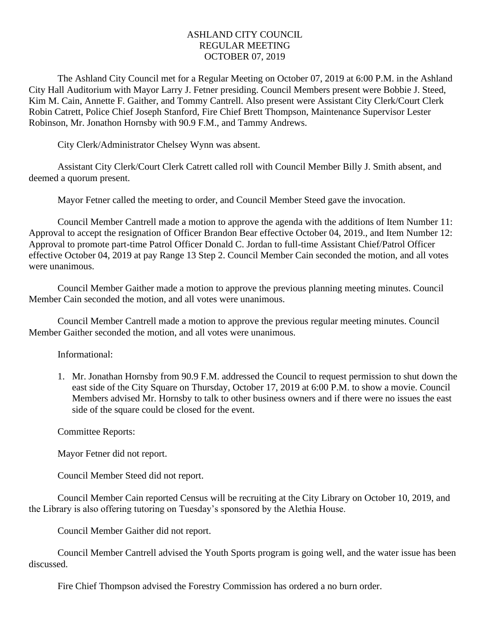## ASHLAND CITY COUNCIL REGULAR MEETING OCTOBER 07, 2019

The Ashland City Council met for a Regular Meeting on October 07, 2019 at 6:00 P.M. in the Ashland City Hall Auditorium with Mayor Larry J. Fetner presiding. Council Members present were Bobbie J. Steed, Kim M. Cain, Annette F. Gaither, and Tommy Cantrell. Also present were Assistant City Clerk/Court Clerk Robin Catrett, Police Chief Joseph Stanford, Fire Chief Brett Thompson, Maintenance Supervisor Lester Robinson, Mr. Jonathon Hornsby with 90.9 F.M., and Tammy Andrews.

City Clerk/Administrator Chelsey Wynn was absent.

Assistant City Clerk/Court Clerk Catrett called roll with Council Member Billy J. Smith absent, and deemed a quorum present.

Mayor Fetner called the meeting to order, and Council Member Steed gave the invocation.

Council Member Cantrell made a motion to approve the agenda with the additions of Item Number 11: Approval to accept the resignation of Officer Brandon Bear effective October 04, 2019., and Item Number 12: Approval to promote part-time Patrol Officer Donald C. Jordan to full-time Assistant Chief/Patrol Officer effective October 04, 2019 at pay Range 13 Step 2. Council Member Cain seconded the motion, and all votes were unanimous.

Council Member Gaither made a motion to approve the previous planning meeting minutes. Council Member Cain seconded the motion, and all votes were unanimous.

Council Member Cantrell made a motion to approve the previous regular meeting minutes. Council Member Gaither seconded the motion, and all votes were unanimous.

Informational:

1. Mr. Jonathan Hornsby from 90.9 F.M. addressed the Council to request permission to shut down the east side of the City Square on Thursday, October 17, 2019 at 6:00 P.M. to show a movie. Council Members advised Mr. Hornsby to talk to other business owners and if there were no issues the east side of the square could be closed for the event.

Committee Reports:

Mayor Fetner did not report.

Council Member Steed did not report.

Council Member Cain reported Census will be recruiting at the City Library on October 10, 2019, and the Library is also offering tutoring on Tuesday's sponsored by the Alethia House.

Council Member Gaither did not report.

Council Member Cantrell advised the Youth Sports program is going well, and the water issue has been discussed.

Fire Chief Thompson advised the Forestry Commission has ordered a no burn order.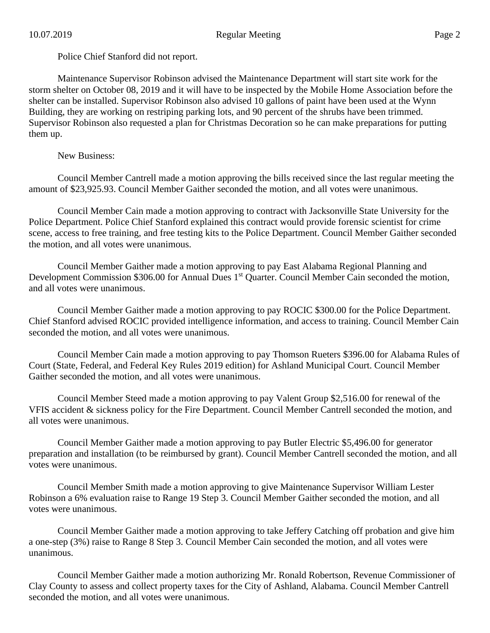Police Chief Stanford did not report.

Maintenance Supervisor Robinson advised the Maintenance Department will start site work for the storm shelter on October 08, 2019 and it will have to be inspected by the Mobile Home Association before the shelter can be installed. Supervisor Robinson also advised 10 gallons of paint have been used at the Wynn Building, they are working on restriping parking lots, and 90 percent of the shrubs have been trimmed. Supervisor Robinson also requested a plan for Christmas Decoration so he can make preparations for putting them up.

New Business:

Council Member Cantrell made a motion approving the bills received since the last regular meeting the amount of \$23,925.93. Council Member Gaither seconded the motion, and all votes were unanimous.

Council Member Cain made a motion approving to contract with Jacksonville State University for the Police Department. Police Chief Stanford explained this contract would provide forensic scientist for crime scene, access to free training, and free testing kits to the Police Department. Council Member Gaither seconded the motion, and all votes were unanimous.

Council Member Gaither made a motion approving to pay East Alabama Regional Planning and Development Commission \$306.00 for Annual Dues 1<sup>st</sup> Quarter. Council Member Cain seconded the motion, and all votes were unanimous.

Council Member Gaither made a motion approving to pay ROCIC \$300.00 for the Police Department. Chief Stanford advised ROCIC provided intelligence information, and access to training. Council Member Cain seconded the motion, and all votes were unanimous.

Council Member Cain made a motion approving to pay Thomson Rueters \$396.00 for Alabama Rules of Court (State, Federal, and Federal Key Rules 2019 edition) for Ashland Municipal Court. Council Member Gaither seconded the motion, and all votes were unanimous.

Council Member Steed made a motion approving to pay Valent Group \$2,516.00 for renewal of the VFIS accident & sickness policy for the Fire Department. Council Member Cantrell seconded the motion, and all votes were unanimous.

Council Member Gaither made a motion approving to pay Butler Electric \$5,496.00 for generator preparation and installation (to be reimbursed by grant). Council Member Cantrell seconded the motion, and all votes were unanimous.

Council Member Smith made a motion approving to give Maintenance Supervisor William Lester Robinson a 6% evaluation raise to Range 19 Step 3. Council Member Gaither seconded the motion, and all votes were unanimous.

Council Member Gaither made a motion approving to take Jeffery Catching off probation and give him a one-step (3%) raise to Range 8 Step 3. Council Member Cain seconded the motion, and all votes were unanimous.

Council Member Gaither made a motion authorizing Mr. Ronald Robertson, Revenue Commissioner of Clay County to assess and collect property taxes for the City of Ashland, Alabama. Council Member Cantrell seconded the motion, and all votes were unanimous.